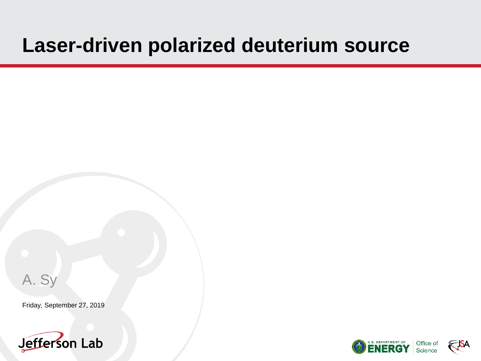# **Laser-driven polarized deuterium source**

A. Sy

Friday, September 27, 2019







Office of<br>Science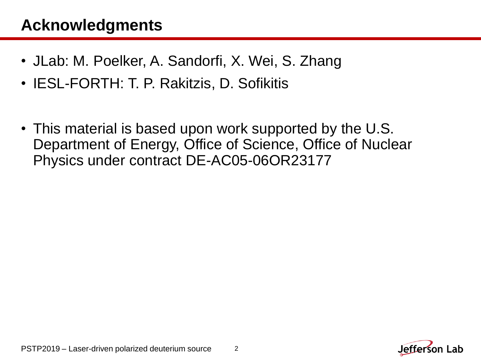#### **Acknowledgments**

- JLab: M. Poelker, A. Sandorfi, X. Wei, S. Zhang
- IESL-FORTH: T. P. Rakitzis, D. Sofikitis
- This material is based upon work supported by the U.S. Department of Energy, Office of Science, Office of Nuclear Physics under contract DE-AC05-06OR23177

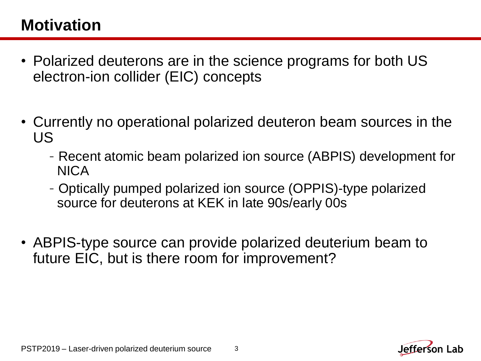# **Motivation**

- Polarized deuterons are in the science programs for both US electron-ion collider (EIC) concepts
- Currently no operational polarized deuteron beam sources in the US
	- -Recent atomic beam polarized ion source (ABPIS) development for NICA
	- -Optically pumped polarized ion source (OPPIS)-type polarized source for deuterons at KEK in late 90s/early 00s
- ABPIS-type source can provide polarized deuterium beam to future EIC, but is there room for improvement?

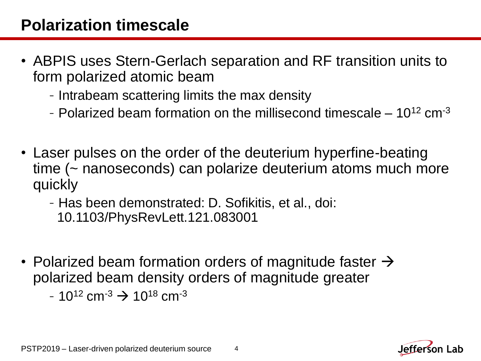#### **Polarization timescale**

- ABPIS uses Stern-Gerlach separation and RF transition units to form polarized atomic beam
	- -Intrabeam scattering limits the max density
	- Polarized beam formation on the millisecond timescale  $-10^{12}$  cm<sup>-3</sup>
- Laser pulses on the order of the deuterium hyperfine-beating time (~ nanoseconds) can polarize deuterium atoms much more quickly
	- -Has been demonstrated: D. Sofikitis, et al., doi: 10.1103/PhysRevLett.121.083001
- Polarized beam formation orders of magnitude faster  $\rightarrow$ polarized beam density orders of magnitude greater  $-10^{12}$  cm<sup>-3</sup>  $\rightarrow 10^{18}$  cm<sup>-3</sup>

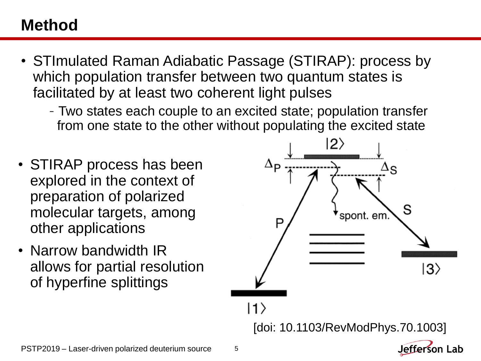#### **Method**

- STImulated Raman Adiabatic Passage (STIRAP): process by which population transfer between two quantum states is facilitated by at least two coherent light pulses
	- -Two states each couple to an excited state; population transfer from one state to the other without populating the excited state
- STIRAP process has been explored in the context of preparation of polarized molecular targets, among other applications
- Narrow bandwidth IR allows for partial resolution of hyperfine splittings

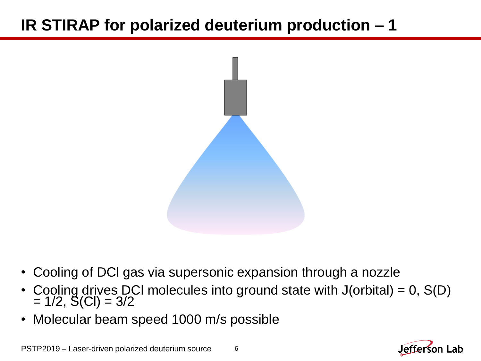

- Cooling of DCl gas via supersonic expansion through a nozzle
- Cooling drives DCI molecules into ground state with  $J($ orbital $) = 0$ ,  $S(D)$  $= 1/2, S(Cl) = 3/2$
- Molecular beam speed 1000 m/s possible



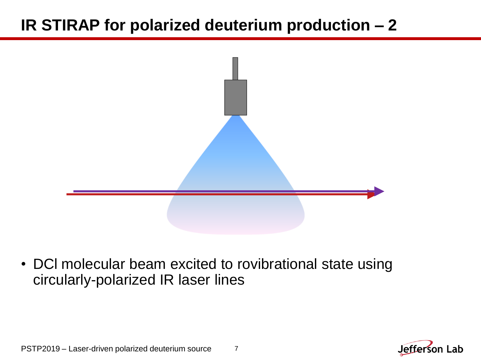

• DCl molecular beam excited to rovibrational state using circularly-polarized IR laser lines



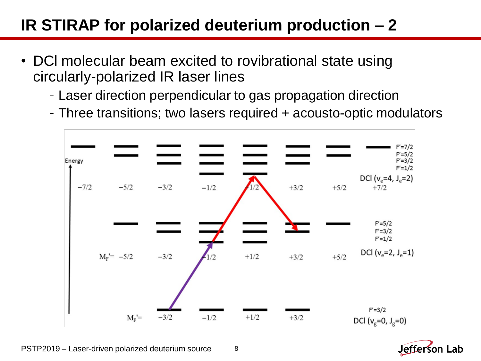- DCl molecular beam excited to rovibrational state using circularly-polarized IR laser lines
	- -Laser direction perpendicular to gas propagation direction
	- -Three transitions; two lasers required + acousto-optic modulators



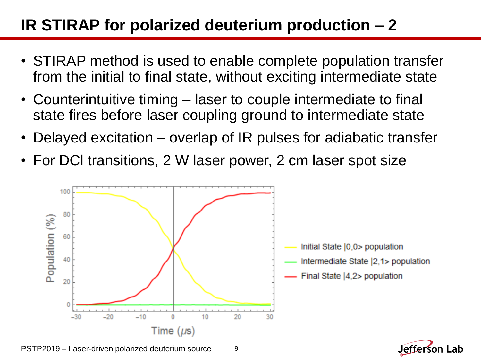- STIRAP method is used to enable complete population transfer from the initial to final state, without exciting intermediate state
- Counterintuitive timing laser to couple intermediate to final state fires before laser coupling ground to intermediate state
- Delayed excitation overlap of IR pulses for adiabatic transfer
- For DCl transitions, 2 W laser power, 2 cm laser spot size



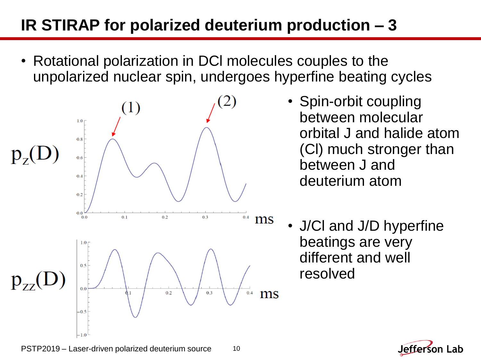• Rotational polarization in DCl molecules couples to the unpolarized nuclear spin, undergoes hyperfine beating cycles



- Spin-orbit coupling between molecular orbital J and halide atom (Cl) much stronger than between J and deuterium atom
- J/Cl and J/D hyperfine beatings are very different and well resolved

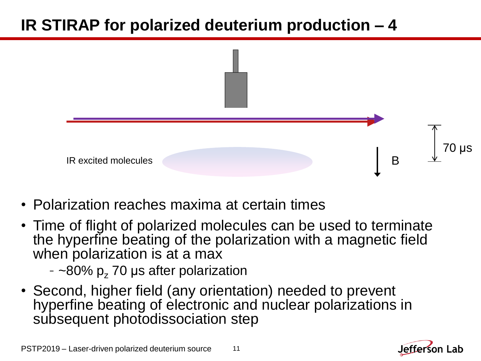

- Polarization reaches maxima at certain times
- Time of flight of polarized molecules can be used to terminate the hyperfine beating of the polarization with a magnetic field when polarization is at a max
	- $-$  ~80% p<sub>z</sub> 70 µs after polarization
- Second, higher field (any orientation) needed to prevent hyperfine beating of electronic and nuclear polarizations in subsequent photodissociation step



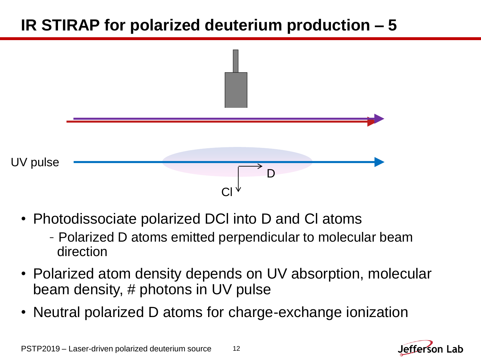

- Photodissociate polarized DCl into D and Cl atoms
	- -Polarized D atoms emitted perpendicular to molecular beam direction
- Polarized atom density depends on UV absorption, molecular beam density, # photons in UV pulse
- Neutral polarized D atoms for charge-exchange ionization



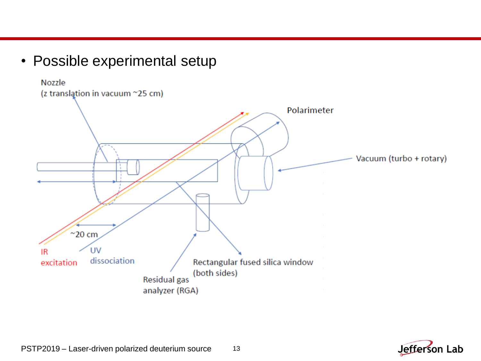• Possible experimental setup